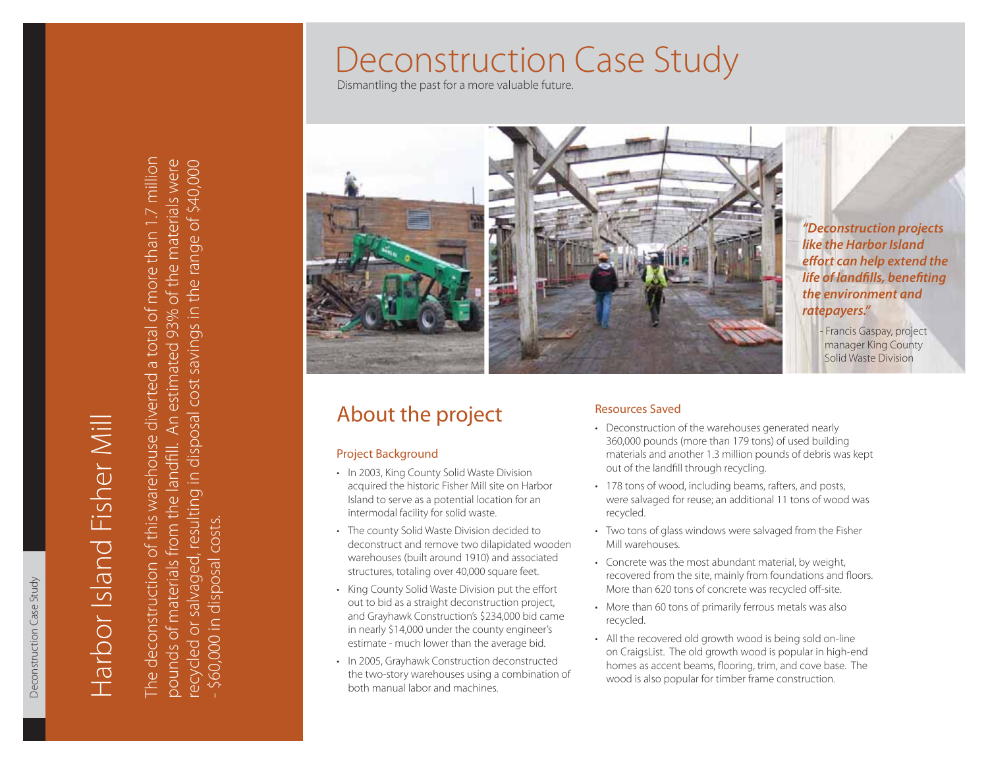Dismantling the past for a more valuable future.



*"Deconstruction projects like the Harbor Island effort can help extend the* **life of landfills, benefiting** *the environment and ratepayers."*

> - Francis Gaspay, project manager King County Solid Waste Division

# About the project

## Project Background

- In 2003, King County Solid Waste Division acquired the historic Fisher Mill site on Harbor Island to serve as a potential location for an intermodal facility for solid waste.
- The county Solid Waste Division decided to deconstruct and remove two dilapidated wooden warehouses (built around 1910) and associated structures, totaling over 40,000 square feet.
- King County Solid Waste Division put the effort out to bid as a straight deconstruction project, and Grayhawk Construction's \$234,000 bid came in nearly \$14,000 under the county engineer's estimate - much lower than the average bid.
- In 2005, Grayhawk Construction deconstructed the two-story warehouses using a combination of both manual labor and machines.

# Resources Saved

- Deconstruction of the warehouses generated nearly 360,000 pounds (more than 179 tons) of used building materials and another 1.3 million pounds of debris was kept out of the landfill through recycling.
- 178 tons of wood, including beams, rafters, and posts, were salvaged for reuse; an additional 11 tons of wood was recycled.
- Two tons of glass windows were salvaged from the Fisher Mill warehouses.
- Concrete was the most abundant material, by weight, recovered from the site, mainly from foundations and floors. More than 620 tons of concrete was recycled off-site.
- More than 60 tons of primarily ferrous metals was also recycled.
- All the recovered old growth wood is being sold on-line on CraigsList. The old growth wood is popular in high-end homes as accent beams, flooring, trim, and cove base. The wood is also popular for timber frame construction.

# Harbor Island Fisher Mill Harbor Island Fisher Mil

The deconstruction of this warehouse diverted a total of more than 1.7 million The deconstruction of this warehouse diverted a total of more than 1.7 million pounds of materials from the landfill. An estimated 93% of the materials were recycled or salvaged, resulting in disposal cost savings in the range of \$40,000 pounds of materials from the landfill. An estimated 93% of the materials were the range of \$40,000 recycled or salvaged, resulting in disposal cost savings in - \$60,000 in disposal costs. \$60,000 in disposal costs